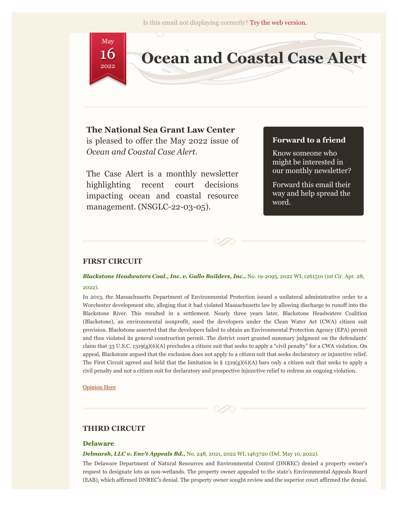

# **The National Sea Grant Law Center**

is pleased to offer the May 2022 issue of *Ocean and Coastal Case Alert*.

The Case Alert is a monthly newsletter highlighting recent court decisions impacting ocean and coastal resource management. (NSGLC-22-03-05).

# **Forward to a friend**

Know someone who might be interested in our monthly newsletter?

Forward this email their way and help spread the word.

# **FIRST CIRCUIT**

## *Blackstone Headwaters Coal., Inc. v. Gallo Builders, Inc.,* No. 19-2095, 2022 WL 1261510 (1st Cir. Apr. 28, 2022).

In 2013, the Massachusetts Department of Environmental Protection issued a unilateral administrative order to a Worchester development site, alleging that it had violated Massachusetts law by allowing discharge to runoff into the Blackstone River. This resulted in a settlement. Nearly three years later, Blackstone Headwaters Coalition (Blackstone), an environmental nonprofit, sued the developers under the Clean Water Act (CWA) citizen suit provision. Blackstone asserted that the developers failed to obtain an Environmental Protection Agency (EPA) permit and thus violated its general construction permit. The district court granted summary judgment on the defendants' claim that 33 U.S.C. 1319(g)(6)(A) precludes a citizen suit that seeks to apply a "civil penalty" for a CWA violation. On appeal, Blackstone argued that the exclusion does not apply to a citizen suit that seeks declaratory or injunctive relief. The First Circuit agreed and held that the limitation in § 1319(g)(6)(A) bars only a citizen suit that seeks to apply a civil penalty and not a citizen suit for declaratory and prospective injunctive relief to redress an ongoing violation.

[Opinion Here](http://nsglc.olemiss.edu/casealert/may-2022/blackstone-headwaters.pdf)

# **THIRD CIRCUIT**

### **Delaware**

#### *Delmarsh, LLC v. Env't Appeals Bd.,* No. 248, 2021, 2022 WL 1463720 (Del. May 10, 2022).

The Delaware Department of Natural Resources and Environmental Control (DNREC) denied a property owner's request to designate lots as non-wetlands. The property owner appealed to the state's Environmental Appeals Board (EAB), which affirmed DNREC's denial. The property owner sought review and the superior court affirmed the denial.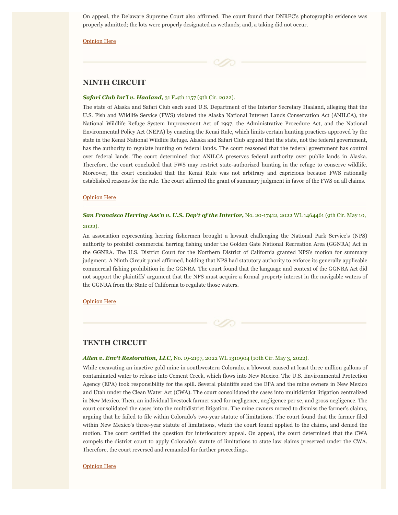On appeal, the Delaware Supreme Court also affirmed. The court found that DNREC's photographic evidence was properly admitted; the lots were properly designated as wetlands; and, a taking did not occur.

[Opinion Here](http://nsglc.olemiss.edu/casealert/may-2022/delmarsh.pdf)

## **NINTH CIRCUIT**

### *Safari Club Int'l v. Haaland,* 31 F.4th 1157 (9th Cir. 2022).

The state of Alaska and Safari Club each sued U.S. Department of the Interior Secretary Haaland, alleging that the U.S. Fish and Wildlife Service (FWS) violated the Alaska National Interest Lands Conservation Act (ANILCA), the National Wildlife Refuge System Improvement Act of 1997, the Administrative Procedure Act, and the National Environmental Policy Act (NEPA) by enacting the Kenai Rule, which limits certain hunting practices approved by the state in the Kenai National Wildlife Refuge. Alaska and Safari Club argued that the state, not the federal government, has the authority to regulate hunting on federal lands. The court reasoned that the federal government has control over federal lands. The court determined that ANILCA preserves federal authority over public lands in Alaska. Therefore, the court concluded that FWS may restrict state-authorized hunting in the refuge to conserve wildlife. Moreover, the court concluded that the Kenai Rule was not arbitrary and capricious because FWS rationally established reasons for the rule. The court affirmed the grant of summary judgment in favor of the FWS on all claims.

#### [Opinion Here](http://nsglc.olemiss.edu/casealert/may-2022/safari-club.pdf)

# *San Francisco Herring Ass'n v. U.S. Dep't of the Interior, No. 20-17412, 2022 WL 1464461 (9th Cir. May 10,* 2022).

An association representing herring fishermen brought a lawsuit challenging the National Park Service's (NPS) authority to prohibit commercial herring fishing under the Golden Gate National Recreation Area (GGNRA) Act in the GGNRA. The U.S. District Court for the Northern District of California granted NPS's motion for summary judgment. A Ninth Circuit panel affirmed, holding that NPS had statutory authority to enforce its generally applicable commercial fishing prohibition in the GGNRA. The court found that the language and context of the GGNRA Act did not support the plaintiffs' argument that the NPS must acquire a formal property interest in the navigable waters of the GGNRA from the State of California to regulate those waters.

#### [Opinion Here](http://nsglc.olemiss.edu/casealert/may-2022/sanfran-herring.pdf)



## *Allen v. Env't Restoration, LLC,* No. 19-2197, 2022 WL 1310904 (10th Cir. May 3, 2022).

While excavating an inactive gold mine in southwestern Colorado, a blowout caused at least three million gallons of contaminated water to release into Cement Creek, which flows into New Mexico. The U.S. Environmental Protection Agency (EPA) took responsibility for the spill. Several plaintiffs sued the EPA and the mine owners in New Mexico and Utah under the Clean Water Act (CWA). The court consolidated the cases into multidistrict litigation centralized in New Mexico. Then, an individual livestock farmer sued for negligence, negligence per se, and gross negligence. The court consolidated the cases into the multidistrict litigation. The mine owners moved to dismiss the farmer's claims, arguing that he failed to file within Colorado's two-year statute of limitations. The court found that the farmer filed within New Mexico's three-year statute of limitations, which the court found applied to the claims, and denied the motion. The court certified the question for interlocutory appeal. On appeal, the court determined that the CWA compels the district court to apply Colorado's statute of limitations to state law claims preserved under the CWA. Therefore, the court reversed and remanded for further proceedings.

#### [Opinion Here](http://nsglc.olemiss.edu/casealert/may-2022/allen.pdf)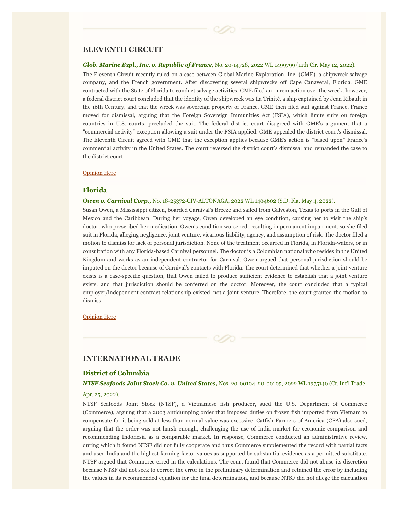# **ELEVENTH CIRCUIT**

#### *Glob. Marine Expl., Inc. v. Republic of France,* No. 20-14728, 2022 WL 1499799 (11th Cir. May 12, 2022).

The Eleventh Circuit recently ruled on a case between Global Marine Exploration, Inc. (GME), a shipwreck salvage company, and the French government. After discovering several shipwrecks off Cape Canaveral, Florida, GME contracted with the State of Florida to conduct salvage activities. GME filed an in rem action over the wreck; however, a federal district court concluded that the identity of the shipwreck was La Trinité, a ship captained by Jean Ribault in the 16th Century, and that the wreck was sovereign property of France. GME then filed suit against France. France moved for dismissal, arguing that the Foreign Sovereign Immunities Act (FSIA), which limits suits on foreign countries in U.S. courts, precluded the suit. The federal district court disagreed with GME's argument that a "commercial activity" exception allowing a suit under the FSIA applied. GME appealed the district court's dismissal. The Eleventh Circuit agreed with GME that the exception applies because GME's action is "based upon" France's commercial activity in the United States. The court reversed the district court's dismissal and remanded the case to the district court.

#### [Opinion Here](http://nsglc.olemiss.edu/casealert/may-2022/global-marine-exp.pdf)

#### **Florida**

#### *Owen v. Carnival Corp.,* No. 18-25372-CIV-ALTONAGA, 2022 WL 1404602 (S.D. Fla. May 4, 2022).

Susan Owen, a Mississippi citizen, boarded Carnival's Breeze and sailed from Galveston, Texas to ports in the Gulf of Mexico and the Caribbean. During her voyage, Owen developed an eye condition, causing her to visit the ship's doctor, who prescribed her medication. Owen's condition worsened, resulting in permanent impairment, so she filed suit in Florida, alleging negligence, joint venture, vicarious liability, agency, and assumption of risk. The doctor filed a motion to dismiss for lack of personal jurisdiction. None of the treatment occurred in Florida, in Florida-waters, or in consultation with any Florida-based Carnival personnel. The doctor is a Colombian national who resides in the United Kingdom and works as an independent contractor for Carnival. Owen argued that personal jurisdiction should be imputed on the doctor because of Carnival's contacts with Florida. The court determined that whether a joint venture exists is a case-specific question, that Owen failed to produce sufficient evidence to establish that a joint venture exists, and that jurisdiction should be conferred on the doctor. Moreover, the court concluded that a typical employer/independent contract relationship existed, not a joint venture. Therefore, the court granted the motion to dismiss.

### [Opinion Here](http://nsglc.olemiss.edu/casealert/may-2022/owen.pdf)

## **INTERNATIONAL TRADE**

### **District of Columbia**

### *NTSF Seafoods Joint Stock Co. v. United States,* Nos. 20-00104, 20-00105, 2022 WL 1375140 (Ct. Int'l Trade

### Apr. 25, 2022).

NTSF Seafoods Joint Stock (NTSF), a Vietnamese fish producer, sued the U.S. Department of Commerce (Commerce), arguing that a 2003 antidumping order that imposed duties on frozen fish imported from Vietnam to compensate for it being sold at less than normal value was excessive. Catfish Farmers of America (CFA) also sued, arguing that the order was not harsh enough, challenging the use of India market for economic comparison and recommending Indonesia as a comparable market. In response, Commerce conducted an administrative review, during which it found NTSF did not fully cooperate and thus Commerce supplemented the record with partial facts and used India and the highest farming factor values as supported by substantial evidence as a permitted substitute. NTSF argued that Commerce erred in the calculations. The court found that Commerce did not abuse its discretion because NTSF did not seek to correct the error in the preliminary determination and retained the error by including the values in its recommended equation for the final determination, and because NTSF did not allege the calculation